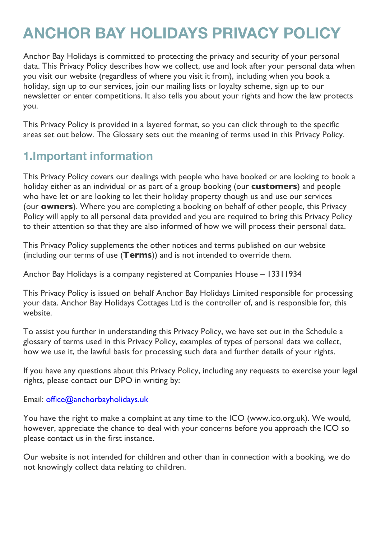# **ANCHOR BAY HOLIDAYS PRIVACY POLICY**

Anchor Bay Holidays is committed to protecting the privacy and security of your personal data. This Privacy Policy describes how we collect, use and look after your personal data when you visit our website (regardless of where you visit it from), including when you book a holiday, sign up to our services, join our mailing lists or loyalty scheme, sign up to our newsletter or enter competitions. It also tells you about your rights and how the law protects you.

This Privacy Policy is provided in a layered format, so you can click through to the specific areas set out below. The Glossary sets out the meaning of terms used in this Privacy Policy.

# **1.Important information**

This Privacy Policy covers our dealings with people who have booked or are looking to book a holiday either as an individual or as part of a group booking (our **customers**) and people who have let or are looking to let their holiday property though us and use our services (our **owners**). Where you are completing a booking on behalf of other people, this Privacy Policy will apply to all personal data provided and you are required to bring this Privacy Policy to their attention so that they are also informed of how we will process their personal data.

This Privacy Policy supplements the other notices and terms published on our website (including our terms of use (**Terms**)) and is not intended to override them.

Anchor Bay Holidays is a company registered at Companies House – 13311934

This Privacy Policy is issued on behalf Anchor Bay Holidays Limited responsible for processing your data. Anchor Bay Holidays Cottages Ltd is the controller of, and is responsible for, this website.

To assist you further in understanding this Privacy Policy, we have set out in the Schedule a glossary of terms used in this Privacy Policy, examples of types of personal data we collect, how we use it, the lawful basis for processing such data and further details of your rights.

If you have any questions about this Privacy Policy, including any requests to exercise your legal rights, please contact our DPO in writing by:

Email: office@anchorbayholidays.uk

You have the right to make a complaint at any time to the ICO (www.ico.org.uk). We would, however, appreciate the chance to deal with your concerns before you approach the ICO so please contact us in the first instance.

Our website is not intended for children and other than in connection with a booking, we do not knowingly collect data relating to children.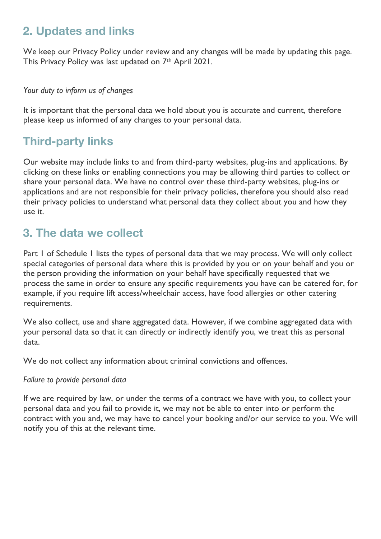### **2. Updates and links**

We keep our Privacy Policy under review and any changes will be made by updating this page. This Privacy Policy was last updated on 7<sup>th</sup> April 2021.

#### *Your duty to inform us of changes*

It is important that the personal data we hold about you is accurate and current, therefore please keep us informed of any changes to your personal data.

### **Third-party links**

Our website may include links to and from third-party websites, plug-ins and applications. By clicking on these links or enabling connections you may be allowing third parties to collect or share your personal data. We have no control over these third-party websites, plug-ins or applications and are not responsible for their privacy policies, therefore you should also read their privacy policies to understand what personal data they collect about you and how they use it.

### **3. The data we collect**

Part 1 of Schedule 1 lists the types of personal data that we may process. We will only collect special categories of personal data where this is provided by you or on your behalf and you or the person providing the information on your behalf have specifically requested that we process the same in order to ensure any specific requirements you have can be catered for, for example, if you require lift access/wheelchair access, have food allergies or other catering requirements.

We also collect, use and share aggregated data. However, if we combine aggregated data with your personal data so that it can directly or indirectly identify you, we treat this as personal data.

We do not collect any information about criminal convictions and offences.

#### *Failure to provide personal data*

If we are required by law, or under the terms of a contract we have with you, to collect your personal data and you fail to provide it, we may not be able to enter into or perform the contract with you and, we may have to cancel your booking and/or our service to you. We will notify you of this at the relevant time.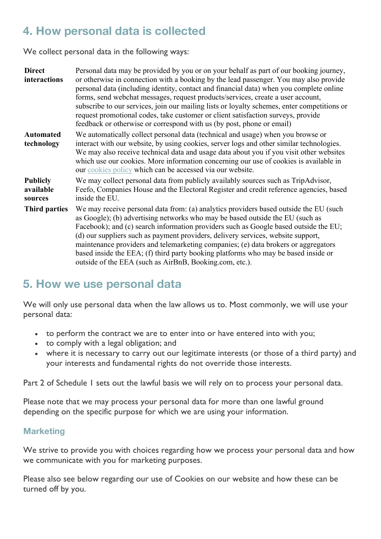# **4. How personal data is collected**

We collect personal data in the following ways:

| <b>Direct</b><br>interactions           | Personal data may be provided by you or on your behalf as part of our booking journey,<br>or otherwise in connection with a booking by the lead passenger. You may also provide<br>personal data (including identity, contact and financial data) when you complete online<br>forms, send webchat messages, request products/services, create a user account,<br>subscribe to our services, join our mailing lists or loyalty schemes, enter competitions or<br>request promotional codes, take customer or client satisfaction surveys, provide<br>feedback or otherwise or correspond with us (by post, phone or email) |
|-----------------------------------------|---------------------------------------------------------------------------------------------------------------------------------------------------------------------------------------------------------------------------------------------------------------------------------------------------------------------------------------------------------------------------------------------------------------------------------------------------------------------------------------------------------------------------------------------------------------------------------------------------------------------------|
| <b>Automated</b><br>technology          | We automatically collect personal data (technical and usage) when you browse or<br>interact with our website, by using cookies, server logs and other similar technologies.<br>We may also receive technical data and usage data about you if you visit other websites<br>which use our cookies. More information concerning our use of cookies is available in<br>our cookies policy which can be accessed via our website.                                                                                                                                                                                              |
| <b>Publicly</b><br>available<br>sources | We may collect personal data from publicly availably sources such as TripAdvisor,<br>Feefo, Companies House and the Electoral Register and credit reference agencies, based<br>inside the EU.                                                                                                                                                                                                                                                                                                                                                                                                                             |
| <b>Third parties</b>                    | We may receive personal data from: (a) analytics providers based outside the EU (such<br>as Google); (b) advertising networks who may be based outside the EU (such as<br>Facebook); and (c) search information providers such as Google based outside the EU;<br>(d) our suppliers such as payment providers, delivery services, website support,<br>maintenance providers and telemarketing companies; (e) data brokers or aggregators<br>based inside the EEA; (f) third party booking platforms who may be based inside or<br>outside of the EEA (such as AirBnB, Booking.com, etc.).                                 |

### **5. How we use personal data**

We will only use personal data when the law allows us to. Most commonly, we will use your personal data:

- to perform the contract we are to enter into or have entered into with you;
- to comply with a legal obligation; and
- where it is necessary to carry out our legitimate interests (or those of a third party) and your interests and fundamental rights do not override those interests.

Part 2 of Schedule 1 sets out the lawful basis we will rely on to process your personal data.

Please note that we may process your personal data for more than one lawful ground depending on the specific purpose for which we are using your information.

#### **Marketing**

We strive to provide you with choices regarding how we process your personal data and how we communicate with you for marketing purposes.

Please also see below regarding our use of Cookies on our website and how these can be turned off by you.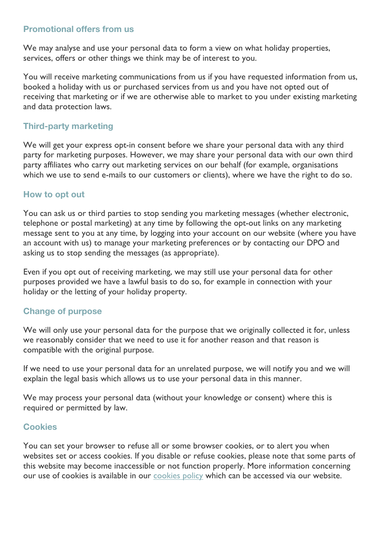#### **Promotional offers from us**

We may analyse and use your personal data to form a view on what holiday properties, services, offers or other things we think may be of interest to you.

You will receive marketing communications from us if you have requested information from us, booked a holiday with us or purchased services from us and you have not opted out of receiving that marketing or if we are otherwise able to market to you under existing marketing and data protection laws.

#### **Third-party marketing**

We will get your express opt-in consent before we share your personal data with any third party for marketing purposes. However, we may share your personal data with our own third party affiliates who carry out marketing services on our behalf (for example, organisations which we use to send e-mails to our customers or clients), where we have the right to do so.

#### **How to opt out**

You can ask us or third parties to stop sending you marketing messages (whether electronic, telephone or postal marketing) at any time by following the opt-out links on any marketing message sent to you at any time, by logging into your account on our website (where you have an account with us) to manage your marketing preferences or by contacting our DPO and asking us to stop sending the messages (as appropriate).

Even if you opt out of receiving marketing, we may still use your personal data for other purposes provided we have a lawful basis to do so, for example in connection with your holiday or the letting of your holiday property.

#### **Change of purpose**

We will only use your personal data for the purpose that we originally collected it for, unless we reasonably consider that we need to use it for another reason and that reason is compatible with the original purpose.

If we need to use your personal data for an unrelated purpose, we will notify you and we will explain the legal basis which allows us to use your personal data in this manner.

We may process your personal data (without your knowledge or consent) where this is required or permitted by law.

#### **Cookies**

You can set your browser to refuse all or some browser cookies, or to alert you when websites set or access cookies. If you disable or refuse cookies, please note that some parts of this website may become inaccessible or not function properly. More information concerning our use of cookies is available in our cookies policy which can be accessed via our website.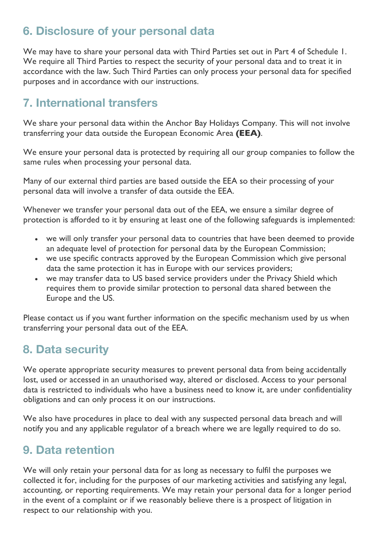### **6. Disclosure of your personal data**

We may have to share your personal data with Third Parties set out in Part 4 of Schedule 1. We require all Third Parties to respect the security of your personal data and to treat it in accordance with the law. Such Third Parties can only process your personal data for specified purposes and in accordance with our instructions.

# **7. International transfers**

We share your personal data within the Anchor Bay Holidays Company. This will not involve transferring your data outside the European Economic Area **(EEA)**.

We ensure your personal data is protected by requiring all our group companies to follow the same rules when processing your personal data.

Many of our external third parties are based outside the EEA so their processing of your personal data will involve a transfer of data outside the EEA.

Whenever we transfer your personal data out of the EEA, we ensure a similar degree of protection is afforded to it by ensuring at least one of the following safeguards is implemented:

- we will only transfer your personal data to countries that have been deemed to provide an adequate level of protection for personal data by the European Commission;
- we use specific contracts approved by the European Commission which give personal data the same protection it has in Europe with our services providers;
- we may transfer data to US based service providers under the Privacy Shield which requires them to provide similar protection to personal data shared between the Europe and the US.

Please contact us if you want further information on the specific mechanism used by us when transferring your personal data out of the EEA.

### **8. Data security**

We operate appropriate security measures to prevent personal data from being accidentally lost, used or accessed in an unauthorised way, altered or disclosed. Access to your personal data is restricted to individuals who have a business need to know it, are under confidentiality obligations and can only process it on our instructions.

We also have procedures in place to deal with any suspected personal data breach and will notify you and any applicable regulator of a breach where we are legally required to do so.

### **9. Data retention**

We will only retain your personal data for as long as necessary to fulfil the purposes we collected it for, including for the purposes of our marketing activities and satisfying any legal, accounting, or reporting requirements. We may retain your personal data for a longer period in the event of a complaint or if we reasonably believe there is a prospect of litigation in respect to our relationship with you.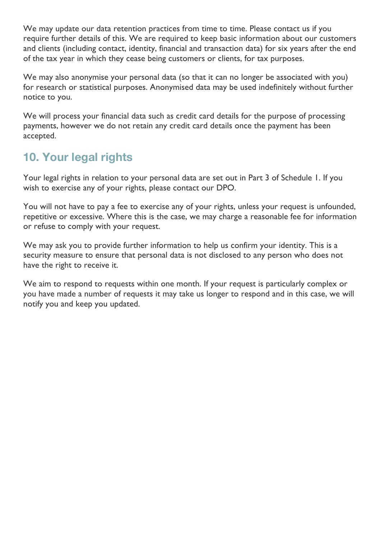We may update our data retention practices from time to time. Please contact us if you require further details of this. We are required to keep basic information about our customers and clients (including contact, identity, financial and transaction data) for six years after the end of the tax year in which they cease being customers or clients, for tax purposes.

We may also anonymise your personal data (so that it can no longer be associated with you) for research or statistical purposes. Anonymised data may be used indefinitely without further notice to you.

We will process your financial data such as credit card details for the purpose of processing payments, however we do not retain any credit card details once the payment has been accepted.

# **10. Your legal rights**

Your legal rights in relation to your personal data are set out in Part 3 of Schedule 1. If you wish to exercise any of your rights, please contact our DPO.

You will not have to pay a fee to exercise any of your rights, unless your request is unfounded, repetitive or excessive. Where this is the case, we may charge a reasonable fee for information or refuse to comply with your request.

We may ask you to provide further information to help us confirm your identity. This is a security measure to ensure that personal data is not disclosed to any person who does not have the right to receive it.

We aim to respond to requests within one month. If your request is particularly complex or you have made a number of requests it may take us longer to respond and in this case, we will notify you and keep you updated.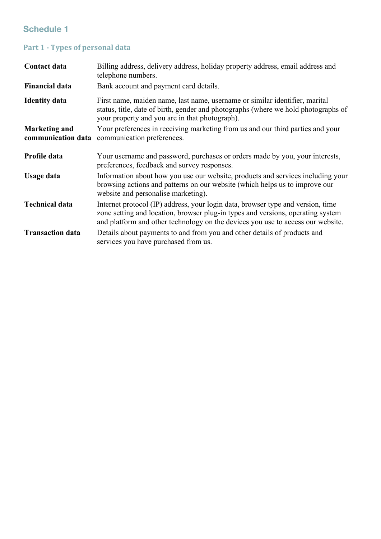### **Schedule 1**

### **Part 1 - Types of personal data**

| Contact data                               | Billing address, delivery address, holiday property address, email address and<br>telephone numbers.                                                                                                                                                  |
|--------------------------------------------|-------------------------------------------------------------------------------------------------------------------------------------------------------------------------------------------------------------------------------------------------------|
| <b>Financial data</b>                      | Bank account and payment card details.                                                                                                                                                                                                                |
| <b>Identity data</b>                       | First name, maiden name, last name, username or similar identifier, marital<br>status, title, date of birth, gender and photographs (where we hold photographs of<br>your property and you are in that photograph).                                   |
| <b>Marketing and</b><br>communication data | Your preferences in receiving marketing from us and our third parties and your<br>communication preferences.                                                                                                                                          |
| Profile data                               | Your username and password, purchases or orders made by you, your interests,<br>preferences, feedback and survey responses.                                                                                                                           |
| <b>Usage data</b>                          | Information about how you use our website, products and services including your<br>browsing actions and patterns on our website (which helps us to improve our<br>website and personalise marketing).                                                 |
| <b>Technical data</b>                      | Internet protocol (IP) address, your login data, browser type and version, time<br>zone setting and location, browser plug-in types and versions, operating system<br>and platform and other technology on the devices you use to access our website. |
| <b>Transaction data</b>                    | Details about payments to and from you and other details of products and<br>services you have purchased from us.                                                                                                                                      |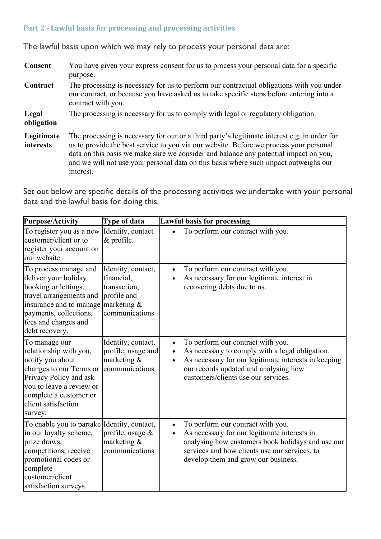#### **Part 2 - Lawful basis for processing and processing activities**

The lawful basis upon which we may rely to process your personal data are:

| <b>Consent</b>          | You have given your express consent for us to process your personal data for a specific<br>purpose.                                                                                                                                                                                                                                                                                 |
|-------------------------|-------------------------------------------------------------------------------------------------------------------------------------------------------------------------------------------------------------------------------------------------------------------------------------------------------------------------------------------------------------------------------------|
| Contract                | The processing is necessary for us to perform our contractual obligations with you under<br>our contract, or because you have asked us to take specific steps before entering into a<br>contract with you.                                                                                                                                                                          |
| Legal<br>obligation     | The processing is necessary for us to comply with legal or regulatory obligation.                                                                                                                                                                                                                                                                                                   |
| Legitimate<br>interests | The processing is necessary for our or a third party's legitimate interest e.g. in order for<br>us to provide the best service to you via our website. Before we process your personal<br>data on this basis we make sure we consider and balance any potential impact on you,<br>and we will not use your personal data on this basis where such impact outweighs our<br>interest. |

Set out below are specific details of the processing activities we undertake with your personal data and the lawful basis for doing this.

| <b>Purpose/Activity</b>                                                                                                                                                                                  | Type of data                                                                                     | <b>Lawful basis for processing</b>                                                                                                                                                                                                                       |
|----------------------------------------------------------------------------------------------------------------------------------------------------------------------------------------------------------|--------------------------------------------------------------------------------------------------|----------------------------------------------------------------------------------------------------------------------------------------------------------------------------------------------------------------------------------------------------------|
| To register you as a new<br>customer/client or to<br>register your account on<br>our website.                                                                                                            | Identity, contact<br>& profile.                                                                  | To perform our contract with you.                                                                                                                                                                                                                        |
| To process manage and<br>deliver your holiday<br>booking or lettings,<br>travel arrangements and<br>insurance and to manage<br>payments, collections,<br>fees and charges and<br>debt recovery.          | Identity, contact,<br>financial,<br>transaction,<br>profile and<br>marketing &<br>communications | To perform our contract with you.<br>As necessary for our legitimate interest in<br>recovering debts due to us.                                                                                                                                          |
| To manage our<br>relationship with you,<br>notify you about<br>changes to our Terms or<br>Privacy Policy and ask<br>you to leave a review or<br>complete a customer or<br>client satisfaction<br>survey. | Identity, contact,<br>profile, usage and<br>marketing &<br>communications                        | To perform our contract with you.<br>$\bullet$<br>As necessary to comply with a legal obligation.<br>As necessary for our legitimate interests in keeping<br>our records updated and analysing how<br>customers/clients use our services.                |
| To enable you to partake Identity, contact,<br>in our loyalty scheme,<br>prize draws,<br>competitions, receive<br>promotional codes or<br>complete<br>customer/client<br>satisfaction surveys.           | profile, usage &<br>marketing &<br>communications                                                | To perform our contract with you.<br>$\bullet$<br>As necessary for our legitimate interests in<br>$\bullet$<br>analysing how customers book holidays and use our<br>services and how clients use our services, to<br>develop them and grow our business. |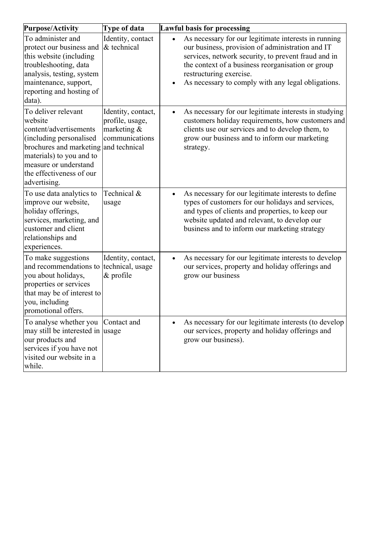| <b>Purpose/Activity</b>                                                                                                                                                                                                       | Type of data                                                           | <b>Lawful basis for processing</b>                                                                                                                                                                                                                                                                    |
|-------------------------------------------------------------------------------------------------------------------------------------------------------------------------------------------------------------------------------|------------------------------------------------------------------------|-------------------------------------------------------------------------------------------------------------------------------------------------------------------------------------------------------------------------------------------------------------------------------------------------------|
| To administer and<br>protect our business and<br>this website (including<br>troubleshooting, data<br>analysis, testing, system<br>maintenance, support,<br>reporting and hosting of<br>data).                                 | Identity, contact<br>$\&$ technical                                    | As necessary for our legitimate interests in running<br>our business, provision of administration and IT<br>services, network security, to prevent fraud and in<br>the context of a business reorganisation or group<br>restructuring exercise.<br>As necessary to comply with any legal obligations. |
| To deliver relevant<br>website<br>content/advertisements<br>(including personalised<br>brochures and marketing and technical<br>materials) to you and to<br>measure or understand<br>the effectiveness of our<br>advertising. | Identity, contact,<br>profile, usage,<br>marketing &<br>communications | As necessary for our legitimate interests in studying<br>customers holiday requirements, how customers and<br>clients use our services and to develop them, to<br>grow our business and to inform our marketing<br>strategy.                                                                          |
| To use data analytics to<br>improve our website,<br>holiday offerings,<br>services, marketing, and<br>customer and client<br>relationships and<br>experiences.                                                                | Technical &<br>usage                                                   | As necessary for our legitimate interests to define<br>$\bullet$<br>types of customers for our holidays and services,<br>and types of clients and properties, to keep our<br>website updated and relevant, to develop our<br>business and to inform our marketing strategy                            |
| To make suggestions<br>and recommendations to<br>you about holidays,<br>properties or services<br>that may be of interest to<br>you, including<br>promotional offers.                                                         | Identity, contact,<br>technical, usage<br>$&$ profile                  | As necessary for our legitimate interests to develop<br>$\bullet$<br>our services, property and holiday offerings and<br>grow our business                                                                                                                                                            |
| To analyse whether you<br>may still be interested in usage<br>our products and<br>services if you have not<br>visited our website in a<br>while.                                                                              | Contact and                                                            | As necessary for our legitimate interests (to develop<br>our services, property and holiday offerings and<br>grow our business).                                                                                                                                                                      |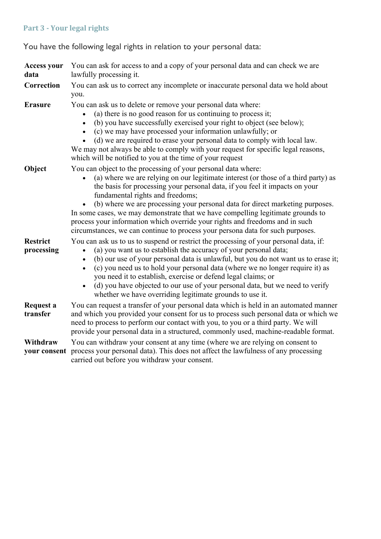### **Part 3 - Your legal rights**

You have the following legal rights in relation to your personal data:

| <b>Access your</b><br>data    | You can ask for access to and a copy of your personal data and can check we are<br>lawfully processing it.                                                                                                                                                                                                                                                                                                                                                                                                                                                                                                                |
|-------------------------------|---------------------------------------------------------------------------------------------------------------------------------------------------------------------------------------------------------------------------------------------------------------------------------------------------------------------------------------------------------------------------------------------------------------------------------------------------------------------------------------------------------------------------------------------------------------------------------------------------------------------------|
| Correction                    | You can ask us to correct any incomplete or inaccurate personal data we hold about<br>you.                                                                                                                                                                                                                                                                                                                                                                                                                                                                                                                                |
| <b>Erasure</b>                | You can ask us to delete or remove your personal data where:<br>(a) there is no good reason for us continuing to process it;<br>$\bullet$<br>(b) you have successfully exercised your right to object (see below);<br>(c) we may have processed your information unlawfully; or<br>(d) we are required to erase your personal data to comply with local law.<br>We may not always be able to comply with your request for specific legal reasons,<br>which will be notified to you at the time of your request                                                                                                            |
| Object                        | You can object to the processing of your personal data where:<br>(a) where we are relying on our legitimate interest (or those of a third party) as<br>$\bullet$<br>the basis for processing your personal data, if you feel it impacts on your<br>fundamental rights and freedoms;<br>(b) where we are processing your personal data for direct marketing purposes.<br>In some cases, we may demonstrate that we have compelling legitimate grounds to<br>process your information which override your rights and freedoms and in such<br>circumstances, we can continue to process your persona data for such purposes. |
| <b>Restrict</b><br>processing | You can ask us to us to suspend or restrict the processing of your personal data, if:<br>(a) you want us to establish the accuracy of your personal data;<br>(b) our use of your personal data is unlawful, but you do not want us to erase it;<br>$\bullet$<br>(c) you need us to hold your personal data (where we no longer require it) as<br>$\bullet$<br>you need it to establish, exercise or defend legal claims; or<br>(d) you have objected to our use of your personal data, but we need to verify<br>whether we have overriding legitimate grounds to use it.                                                  |
| Request a<br>transfer         | You can request a transfer of your personal data which is held in an automated manner<br>and which you provided your consent for us to process such personal data or which we<br>need to process to perform our contact with you, to you or a third party. We will<br>provide your personal data in a structured, commonly used, machine-readable format.                                                                                                                                                                                                                                                                 |
| Withdraw                      | You can withdraw your consent at any time (where we are relying on consent to<br>your consent process your personal data). This does not affect the lawfulness of any processing                                                                                                                                                                                                                                                                                                                                                                                                                                          |

carried out before you withdraw your consent.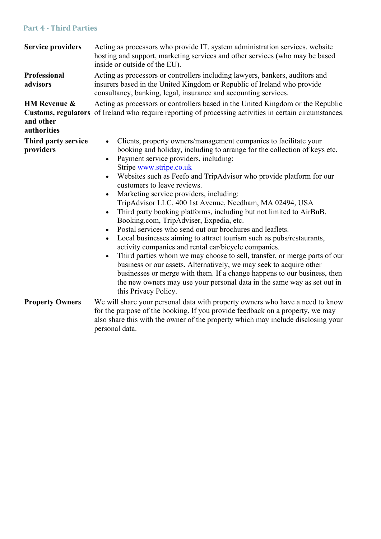#### **Part 4 - Third Parties**

| <b>Service providers</b>         | Acting as processors who provide IT, system administration services, website<br>hosting and support, marketing services and other services (who may be based<br>inside or outside of the EU).                                                                                                                                                                                                                                                                                                                                                                                                                                                                                                                                                                                                                                                                                                                                                                                                                                                                                                                                                                             |  |  |
|----------------------------------|---------------------------------------------------------------------------------------------------------------------------------------------------------------------------------------------------------------------------------------------------------------------------------------------------------------------------------------------------------------------------------------------------------------------------------------------------------------------------------------------------------------------------------------------------------------------------------------------------------------------------------------------------------------------------------------------------------------------------------------------------------------------------------------------------------------------------------------------------------------------------------------------------------------------------------------------------------------------------------------------------------------------------------------------------------------------------------------------------------------------------------------------------------------------------|--|--|
| <b>Professional</b><br>advisors  | Acting as processors or controllers including lawyers, bankers, auditors and<br>insurers based in the United Kingdom or Republic of Ireland who provide<br>consultancy, banking, legal, insurance and accounting services.                                                                                                                                                                                                                                                                                                                                                                                                                                                                                                                                                                                                                                                                                                                                                                                                                                                                                                                                                |  |  |
| <b>HM Revenue &amp;</b>          | Acting as processors or controllers based in the United Kingdom or the Republic                                                                                                                                                                                                                                                                                                                                                                                                                                                                                                                                                                                                                                                                                                                                                                                                                                                                                                                                                                                                                                                                                           |  |  |
| and other<br>authorities         | Customs, regulators of Ireland who require reporting of processing activities in certain circumstances.                                                                                                                                                                                                                                                                                                                                                                                                                                                                                                                                                                                                                                                                                                                                                                                                                                                                                                                                                                                                                                                                   |  |  |
| Third party service<br>providers | Clients, property owners/management companies to facilitate your<br>booking and holiday, including to arrange for the collection of keys etc.<br>Payment service providers, including:<br>$\bullet$<br>Stripe www.stripe.co.uk<br>Websites such as Feefo and TripAdvisor who provide platform for our<br>$\bullet$<br>customers to leave reviews.<br>Marketing service providers, including:<br>$\bullet$<br>TripAdvisor LLC, 400 1st Avenue, Needham, MA 02494, USA<br>Third party booking platforms, including but not limited to AirBnB,<br>$\bullet$<br>Booking.com, TripAdviser, Expedia, etc.<br>Postal services who send out our brochures and leaflets.<br>$\bullet$<br>Local businesses aiming to attract tourism such as pubs/restaurants,<br>$\bullet$<br>activity companies and rental car/bicycle companies.<br>Third parties whom we may choose to sell, transfer, or merge parts of our<br>$\bullet$<br>business or our assets. Alternatively, we may seek to acquire other<br>businesses or merge with them. If a change happens to our business, then<br>the new owners may use your personal data in the same way as set out in<br>this Privacy Policy. |  |  |
| <b>Property Owners</b>           | We will share your personal data with property owners who have a need to know<br>for the purpose of the booking. If you provide feedback on a property, we may<br>also share this with the owner of the property which may include disclosing your<br>personal data.                                                                                                                                                                                                                                                                                                                                                                                                                                                                                                                                                                                                                                                                                                                                                                                                                                                                                                      |  |  |